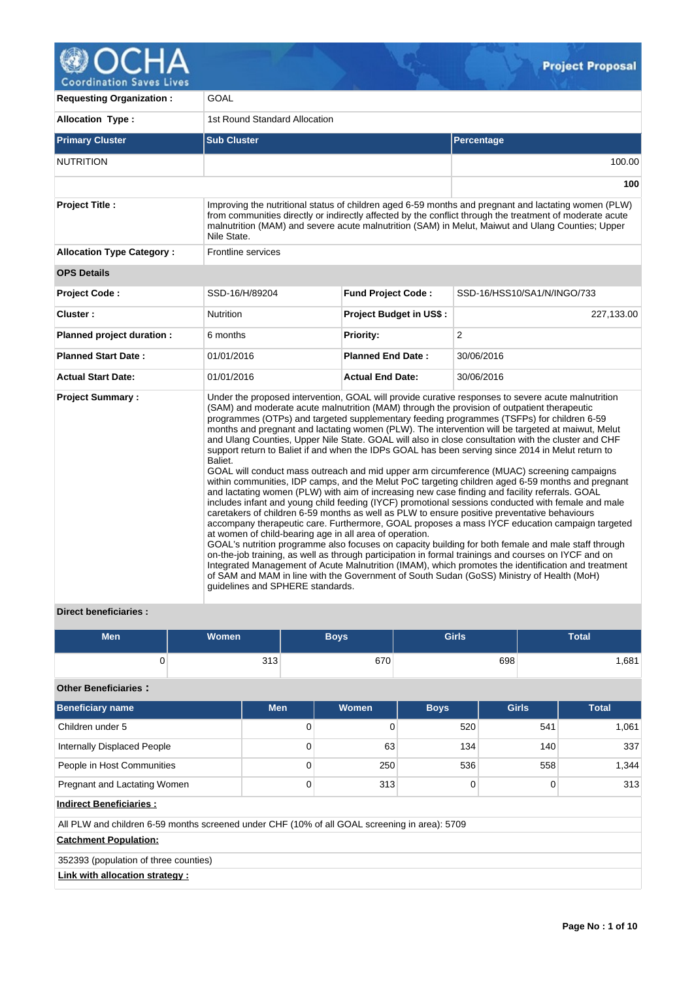

**Coordination Saves Lives** 

| <b>Requesting Organization:</b>  | GOAL                                                                                                   |                           |                                                                                                                                                                                                                                                                                                                                                                                                                                                                                                                                                                                                                                                                                                                                                                                                                                                                                                                                                                                                                                                                                                                                                                                                                                                                                                                                                                                                                                                                                                                                                                                                                                                 |  |  |  |  |
|----------------------------------|--------------------------------------------------------------------------------------------------------|---------------------------|-------------------------------------------------------------------------------------------------------------------------------------------------------------------------------------------------------------------------------------------------------------------------------------------------------------------------------------------------------------------------------------------------------------------------------------------------------------------------------------------------------------------------------------------------------------------------------------------------------------------------------------------------------------------------------------------------------------------------------------------------------------------------------------------------------------------------------------------------------------------------------------------------------------------------------------------------------------------------------------------------------------------------------------------------------------------------------------------------------------------------------------------------------------------------------------------------------------------------------------------------------------------------------------------------------------------------------------------------------------------------------------------------------------------------------------------------------------------------------------------------------------------------------------------------------------------------------------------------------------------------------------------------|--|--|--|--|
| <b>Allocation Type:</b>          | 1st Round Standard Allocation                                                                          |                           |                                                                                                                                                                                                                                                                                                                                                                                                                                                                                                                                                                                                                                                                                                                                                                                                                                                                                                                                                                                                                                                                                                                                                                                                                                                                                                                                                                                                                                                                                                                                                                                                                                                 |  |  |  |  |
| <b>Primary Cluster</b>           | <b>Sub Cluster</b>                                                                                     |                           | Percentage                                                                                                                                                                                                                                                                                                                                                                                                                                                                                                                                                                                                                                                                                                                                                                                                                                                                                                                                                                                                                                                                                                                                                                                                                                                                                                                                                                                                                                                                                                                                                                                                                                      |  |  |  |  |
| <b>NUTRITION</b>                 |                                                                                                        |                           | 100.00                                                                                                                                                                                                                                                                                                                                                                                                                                                                                                                                                                                                                                                                                                                                                                                                                                                                                                                                                                                                                                                                                                                                                                                                                                                                                                                                                                                                                                                                                                                                                                                                                                          |  |  |  |  |
|                                  |                                                                                                        |                           | 100                                                                                                                                                                                                                                                                                                                                                                                                                                                                                                                                                                                                                                                                                                                                                                                                                                                                                                                                                                                                                                                                                                                                                                                                                                                                                                                                                                                                                                                                                                                                                                                                                                             |  |  |  |  |
| <b>Project Title:</b>            | Nile State.                                                                                            |                           | Improving the nutritional status of children aged 6-59 months and pregnant and lactating women (PLW)<br>from communities directly or indirectly affected by the conflict through the treatment of moderate acute<br>malnutrition (MAM) and severe acute malnutrition (SAM) in Melut, Maiwut and Ulang Counties; Upper                                                                                                                                                                                                                                                                                                                                                                                                                                                                                                                                                                                                                                                                                                                                                                                                                                                                                                                                                                                                                                                                                                                                                                                                                                                                                                                           |  |  |  |  |
| <b>Allocation Type Category:</b> | Frontline services                                                                                     |                           |                                                                                                                                                                                                                                                                                                                                                                                                                                                                                                                                                                                                                                                                                                                                                                                                                                                                                                                                                                                                                                                                                                                                                                                                                                                                                                                                                                                                                                                                                                                                                                                                                                                 |  |  |  |  |
| <b>OPS Details</b>               |                                                                                                        |                           |                                                                                                                                                                                                                                                                                                                                                                                                                                                                                                                                                                                                                                                                                                                                                                                                                                                                                                                                                                                                                                                                                                                                                                                                                                                                                                                                                                                                                                                                                                                                                                                                                                                 |  |  |  |  |
| <b>Project Code:</b>             | SSD-16/H/89204                                                                                         | <b>Fund Project Code:</b> | SSD-16/HSS10/SA1/N/INGO/733                                                                                                                                                                                                                                                                                                                                                                                                                                                                                                                                                                                                                                                                                                                                                                                                                                                                                                                                                                                                                                                                                                                                                                                                                                                                                                                                                                                                                                                                                                                                                                                                                     |  |  |  |  |
| Cluster:                         | <b>Nutrition</b>                                                                                       | Project Budget in US\$:   | 227,133.00                                                                                                                                                                                                                                                                                                                                                                                                                                                                                                                                                                                                                                                                                                                                                                                                                                                                                                                                                                                                                                                                                                                                                                                                                                                                                                                                                                                                                                                                                                                                                                                                                                      |  |  |  |  |
| Planned project duration :       | 6 months                                                                                               | <b>Priority:</b>          | 2                                                                                                                                                                                                                                                                                                                                                                                                                                                                                                                                                                                                                                                                                                                                                                                                                                                                                                                                                                                                                                                                                                                                                                                                                                                                                                                                                                                                                                                                                                                                                                                                                                               |  |  |  |  |
| <b>Planned Start Date:</b>       | 01/01/2016                                                                                             | <b>Planned End Date:</b>  | 30/06/2016                                                                                                                                                                                                                                                                                                                                                                                                                                                                                                                                                                                                                                                                                                                                                                                                                                                                                                                                                                                                                                                                                                                                                                                                                                                                                                                                                                                                                                                                                                                                                                                                                                      |  |  |  |  |
| <b>Actual Start Date:</b>        | 01/01/2016                                                                                             | <b>Actual End Date:</b>   | 30/06/2016                                                                                                                                                                                                                                                                                                                                                                                                                                                                                                                                                                                                                                                                                                                                                                                                                                                                                                                                                                                                                                                                                                                                                                                                                                                                                                                                                                                                                                                                                                                                                                                                                                      |  |  |  |  |
| <b>Project Summary:</b>          | Baliet.<br>at women of child-bearing age in all area of operation.<br>guidelines and SPHERE standards. |                           | Under the proposed intervention, GOAL will provide curative responses to severe acute malnutrition<br>(SAM) and moderate acute malnutrition (MAM) through the provision of outpatient therapeutic<br>programmes (OTPs) and targeted supplementary feeding programmes (TSFPs) for children 6-59<br>months and pregnant and lactating women (PLW). The intervention will be targeted at maiwut, Melut<br>and Ulang Counties, Upper Nile State. GOAL will also in close consultation with the cluster and CHF<br>support return to Baliet if and when the IDPs GOAL has been serving since 2014 in Melut return to<br>GOAL will conduct mass outreach and mid upper arm circumference (MUAC) screening campaigns<br>within communities, IDP camps, and the Melut PoC targeting children aged 6-59 months and pregnant<br>and lactating women (PLW) with aim of increasing new case finding and facility referrals. GOAL<br>includes infant and young child feeding (IYCF) promotional sessions conducted with female and male<br>caretakers of children 6-59 months as well as PLW to ensure positive preventative behaviours<br>accompany therapeutic care. Furthermore, GOAL proposes a mass IYCF education campaign targeted<br>GOAL's nutrition programme also focuses on capacity building for both female and male staff through<br>on-the-job training, as well as through participation in formal trainings and courses on IYCF and on<br>Integrated Management of Acute Malnutrition (IMAM), which promotes the identification and treatment<br>of SAM and MAM in line with the Government of South Sudan (GoSS) Ministry of Health (MoH) |  |  |  |  |

# **Direct beneficiaries :**

| Men | <b>Women</b> | Boys, | <b>Girls</b> | Total |
|-----|--------------|-------|--------------|-------|
|     | 313          | 670   | 698          | .681  |

# **Other Beneficiaries :**

| <b>Beneficiary name</b>                                                                       | <b>Men</b> | <b>Women</b> | <b>Boys</b> | <b>Girls</b> | <b>Total</b> |
|-----------------------------------------------------------------------------------------------|------------|--------------|-------------|--------------|--------------|
| Children under 5                                                                              | 0          | 0            | 520         | 541          | 1,061        |
| Internally Displaced People                                                                   | 0          | 63           | 134         | 140          | 337          |
| People in Host Communities                                                                    | 0          | 250          | 536         | 558          | 1.344        |
| Pregnant and Lactating Women                                                                  | 0          | 313          |             |              | 313          |
| <b>Indirect Beneficiaries:</b>                                                                |            |              |             |              |              |
| All PLW and children 6-59 months screened under CHF (10% of all GOAL screening in area): 5709 |            |              |             |              |              |

# **Catchment Population:**

352393 (population of three counties)

# **Link with allocation strategy :**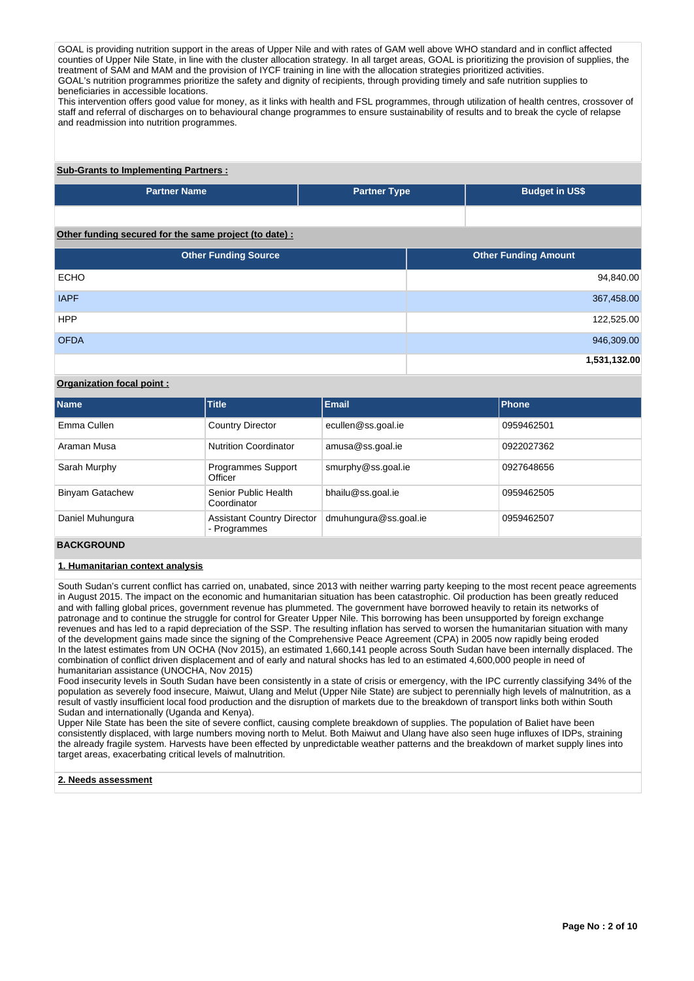GOAL is providing nutrition support in the areas of Upper Nile and with rates of GAM well above WHO standard and in conflict affected counties of Upper Nile State, in line with the cluster allocation strategy. In all target areas, GOAL is prioritizing the provision of supplies, the treatment of SAM and MAM and the provision of IYCF training in line with the allocation strategies prioritized activities. GOAL's nutrition programmes prioritize the safety and dignity of recipients, through providing timely and safe nutrition supplies to beneficiaries in accessible locations.

This intervention offers good value for money, as it links with health and FSL programmes, through utilization of health centres, crossover of staff and referral of discharges on to behavioural change programmes to ensure sustainability of results and to break the cycle of relapse and readmission into nutrition programmes.

# **Sub-Grants to Implementing Partners :**

| <b>Partner Name</b> | <b>Partner Type</b> | <b>Budget in US\$</b> |
|---------------------|---------------------|-----------------------|
|                     |                     |                       |

# **Other funding secured for the same project (to date) :**

| <b>Other Funding Source</b> | <b>Other Funding Amount</b> |
|-----------------------------|-----------------------------|
| <b>ECHO</b>                 | 94,840.00                   |
| <b>IAPF</b>                 | 367,458.00                  |
| <b>HPP</b>                  | 122,525.00                  |
| <b>OFDA</b>                 | 946,309.00                  |
|                             | 1,531,132.00                |

# **Organization focal point :**

| <b>Name</b>            | <b>Title</b>                                      | <b>Email</b>          | Phone      |
|------------------------|---------------------------------------------------|-----------------------|------------|
| Emma Cullen            | <b>Country Director</b>                           | ecullen@ss.goal.ie    | 0959462501 |
| Araman Musa            | <b>Nutrition Coordinator</b>                      | amusa@ss.goal.ie      | 0922027362 |
| Sarah Murphy           | <b>Programmes Support</b><br>Officer              | smurphy@ss.goal.ie    | 0927648656 |
| <b>Binyam Gatachew</b> | Senior Public Health<br>Coordinator               | bhailu@ss.goal.ie     | 0959462505 |
| Daniel Muhungura       | <b>Assistant Country Director</b><br>- Programmes | dmuhungura@ss.goal.ie | 0959462507 |

# **BACKGROUND**

# **1. Humanitarian context analysis**

South Sudan's current conflict has carried on, unabated, since 2013 with neither warring party keeping to the most recent peace agreements in August 2015. The impact on the economic and humanitarian situation has been catastrophic. Oil production has been greatly reduced and with falling global prices, government revenue has plummeted. The government have borrowed heavily to retain its networks of patronage and to continue the struggle for control for Greater Upper Nile. This borrowing has been unsupported by foreign exchange revenues and has led to a rapid depreciation of the SSP. The resulting inflation has served to worsen the humanitarian situation with many of the development gains made since the signing of the Comprehensive Peace Agreement (CPA) in 2005 now rapidly being eroded In the latest estimates from UN OCHA (Nov 2015), an estimated 1,660,141 people across South Sudan have been internally displaced. The combination of conflict driven displacement and of early and natural shocks has led to an estimated 4,600,000 people in need of humanitarian assistance (UNOCHA, Nov 2015)

Food insecurity levels in South Sudan have been consistently in a state of crisis or emergency, with the IPC currently classifying 34% of the population as severely food insecure, Maiwut, Ulang and Melut (Upper Nile State) are subject to perennially high levels of malnutrition, as a result of vastly insufficient local food production and the disruption of markets due to the breakdown of transport links both within South Sudan and internationally (Uganda and Kenya).

Upper Nile State has been the site of severe conflict, causing complete breakdown of supplies. The population of Baliet have been consistently displaced, with large numbers moving north to Melut. Both Maiwut and Ulang have also seen huge influxes of IDPs, straining the already fragile system. Harvests have been effected by unpredictable weather patterns and the breakdown of market supply lines into target areas, exacerbating critical levels of malnutrition.

#### **2. Needs assessment**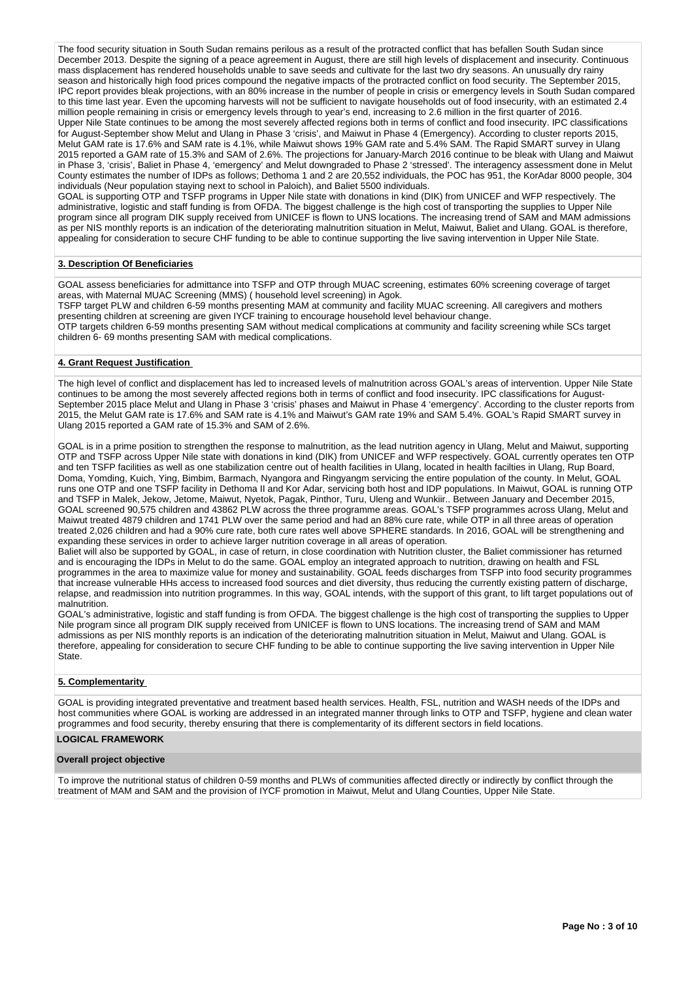The food security situation in South Sudan remains perilous as a result of the protracted conflict that has befallen South Sudan since December 2013. Despite the signing of a peace agreement in August, there are still high levels of displacement and insecurity. Continuous mass displacement has rendered households unable to save seeds and cultivate for the last two dry seasons. An unusually dry rainy season and historically high food prices compound the negative impacts of the protracted conflict on food security. The September 2015, IPC report provides bleak projections, with an 80% increase in the number of people in crisis or emergency levels in South Sudan compared to this time last year. Even the upcoming harvests will not be sufficient to navigate households out of food insecurity, with an estimated 2.4 million people remaining in crisis or emergency levels through to year's end, increasing to 2.6 million in the first quarter of 2016. Upper Nile State continues to be among the most severely affected regions both in terms of conflict and food insecurity. IPC classifications for August-September show Melut and Ulang in Phase 3 'crisis', and Maiwut in Phase 4 (Emergency). According to cluster reports 2015, Melut GAM rate is 17.6% and SAM rate is 4.1%, while Maiwut shows 19% GAM rate and 5.4% SAM. The Rapid SMART survey in Ulang 2015 reported a GAM rate of 15.3% and SAM of 2.6%. The projections for January-March 2016 continue to be bleak with Ulang and Maiwut in Phase 3, 'crisis', Baliet in Phase 4, 'emergency' and Melut downgraded to Phase 2 'stressed'. The interagency assessment done in Melut County estimates the number of IDPs as follows; Dethoma 1 and 2 are 20,552 individuals, the POC has 951, the KorAdar 8000 people, 304 individuals (Neur population staying next to school in Paloich), and Baliet 5500 individuals.

GOAL is supporting OTP and TSFP programs in Upper Nile state with donations in kind (DIK) from UNICEF and WFP respectively. The administrative, logistic and staff funding is from OFDA. The biggest challenge is the high cost of transporting the supplies to Upper Nile program since all program DIK supply received from UNICEF is flown to UNS locations. The increasing trend of SAM and MAM admissions as per NIS monthly reports is an indication of the deteriorating malnutrition situation in Melut, Maiwut, Baliet and Ulang. GOAL is therefore, appealing for consideration to secure CHF funding to be able to continue supporting the live saving intervention in Upper Nile State.

## **3. Description Of Beneficiaries**

GOAL assess beneficiaries for admittance into TSFP and OTP through MUAC screening, estimates 60% screening coverage of target areas, with Maternal MUAC Screening (MMS) ( household level screening) in Agok. TSFP target PLW and children 6-59 months presenting MAM at community and facility MUAC screening. All caregivers and mothers presenting children at screening are given IYCF training to encourage household level behaviour change. OTP targets children 6-59 months presenting SAM without medical complications at community and facility screening while SCs target children 6- 69 months presenting SAM with medical complications.

# **4. Grant Request Justification**

The high level of conflict and displacement has led to increased levels of malnutrition across GOAL's areas of intervention. Upper Nile State continues to be among the most severely affected regions both in terms of conflict and food insecurity. IPC classifications for August-September 2015 place Melut and Ulang in Phase 3 'crisis' phases and Maiwut in Phase 4 'emergency'. According to the cluster reports from 2015, the Melut GAM rate is 17.6% and SAM rate is 4.1% and Maiwut's GAM rate 19% and SAM 5.4%. GOAL's Rapid SMART survey in Ulang 2015 reported a GAM rate of 15.3% and SAM of 2.6%.

GOAL is in a prime position to strengthen the response to malnutrition, as the lead nutrition agency in Ulang, Melut and Maiwut, supporting OTP and TSFP across Upper Nile state with donations in kind (DIK) from UNICEF and WFP respectively. GOAL currently operates ten OTP and ten TSFP facilities as well as one stabilization centre out of health facilities in Ulang, located in health facilties in Ulang, Rup Board, Doma, Yomding, Kuich, Ying, Bimbim, Barmach, Nyangora and Ringyangm servicing the entire population of the county. In Melut, GOAL runs one OTP and one TSFP facility in Dethoma II and Kor Adar, servicing both host and IDP populations. In Maiwut, GOAL is running OTP and TSFP in Malek, Jekow, Jetome, Maiwut, Nyetok, Pagak, Pinthor, Turu, Uleng and Wunkiir.. Between January and December 2015, GOAL screened 90,575 children and 43862 PLW across the three programme areas. GOAL's TSFP programmes across Ulang, Melut and Maiwut treated 4879 children and 1741 PLW over the same period and had an 88% cure rate, while OTP in all three areas of operation treated 2,026 children and had a 90% cure rate, both cure rates well above SPHERE standards. In 2016, GOAL will be strengthening and expanding these services in order to achieve larger nutrition coverage in all areas of operation.

Baliet will also be supported by GOAL, in case of return, in close coordination with Nutrition cluster, the Baliet commissioner has returned and is encouraging the IDPs in Melut to do the same. GOAL employ an integrated approach to nutrition, drawing on health and FSL programmes in the area to maximize value for money and sustainability. GOAL feeds discharges from TSFP into food security programmes that increase vulnerable HHs access to increased food sources and diet diversity, thus reducing the currently existing pattern of discharge, relapse, and readmission into nutrition programmes. In this way, GOAL intends, with the support of this grant, to lift target populations out of malnutrition.

GOAL's administrative, logistic and staff funding is from OFDA. The biggest challenge is the high cost of transporting the supplies to Upper Nile program since all program DIK supply received from UNICEF is flown to UNS locations. The increasing trend of SAM and MAM admissions as per NIS monthly reports is an indication of the deteriorating malnutrition situation in Melut, Maiwut and Ulang. GOAL is therefore, appealing for consideration to secure CHF funding to be able to continue supporting the live saving intervention in Upper Nile State.

## **5. Complementarity**

GOAL is providing integrated preventative and treatment based health services. Health, FSL, nutrition and WASH needs of the IDPs and host communities where GOAL is working are addressed in an integrated manner through links to OTP and TSFP, hygiene and clean water programmes and food security, thereby ensuring that there is complementarity of its different sectors in field locations.

# **LOGICAL FRAMEWORK**

## **Overall project objective**

To improve the nutritional status of children 0-59 months and PLWs of communities affected directly or indirectly by conflict through the treatment of MAM and SAM and the provision of IYCF promotion in Maiwut, Melut and Ulang Counties, Upper Nile State.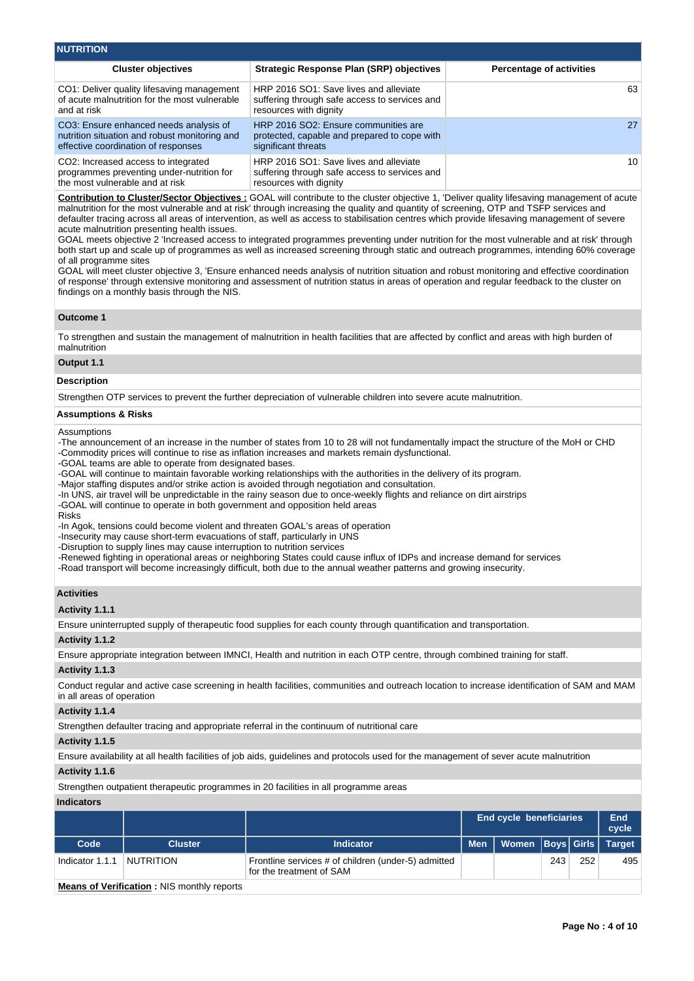| <b>Cluster objectives</b>                                                                                                      | <b>Strategic Response Plan (SRP) objectives</b>                                                                   | <b>Percentage of activities</b> |
|--------------------------------------------------------------------------------------------------------------------------------|-------------------------------------------------------------------------------------------------------------------|---------------------------------|
| CO1: Deliver quality lifesaving management<br>of acute malnutrition for the most vulnerable<br>and at risk                     | HRP 2016 SO1: Save lives and alleviate<br>suffering through safe access to services and<br>resources with dignity | 63                              |
| CO3: Ensure enhanced needs analysis of<br>nutrition situation and robust monitoring and<br>effective coordination of responses | HRP 2016 SO2: Ensure communities are<br>protected, capable and prepared to cope with<br>significant threats       | 27                              |
| CO2: Increased access to integrated<br>programmes preventing under-nutrition for<br>the most vulnerable and at risk            | HRP 2016 SO1: Save lives and alleviate<br>suffering through safe access to services and<br>resources with dianity | 10                              |

**Contribution to Cluster/Sector Objectives :** GOAL will contribute to the cluster objective 1, 'Deliver quality lifesaving management of acute malnutrition for the most vulnerable and at risk' through increasing the quality and quantity of screening, OTP and TSFP services and defaulter tracing across all areas of intervention, as well as access to stabilisation centres which provide lifesaving management of severe acute malnutrition presenting health issues.

GOAL meets objective 2 'Increased access to integrated programmes preventing under nutrition for the most vulnerable and at risk' through both start up and scale up of programmes as well as increased screening through static and outreach programmes, intending 60% coverage of all programme sites

GOAL will meet cluster objective 3, 'Ensure enhanced needs analysis of nutrition situation and robust monitoring and effective coordination of response' through extensive monitoring and assessment of nutrition status in areas of operation and regular feedback to the cluster on findings on a monthly basis through the NIS.

## **Outcome 1**

To strengthen and sustain the management of malnutrition in health facilities that are affected by conflict and areas with high burden of malnutrition

#### **Output 1.1**

#### **Description**

Strengthen OTP services to prevent the further depreciation of vulnerable children into severe acute malnutrition.

#### **Assumptions & Risks**

Assumptions

-The announcement of an increase in the number of states from 10 to 28 will not fundamentally impact the structure of the MoH or CHD -Commodity prices will continue to rise as inflation increases and markets remain dysfunctional.

-GOAL teams are able to operate from designated bases.

-GOAL will continue to maintain favorable working relationships with the authorities in the delivery of its program.

-Major staffing disputes and/or strike action is avoided through negotiation and consultation.

-In UNS, air travel will be unpredictable in the rainy season due to once-weekly flights and reliance on dirt airstrips

-GOAL will continue to operate in both government and opposition held areas

#### Risks

-In Agok, tensions could become violent and threaten GOAL's areas of operation

-Insecurity may cause short-term evacuations of staff, particularly in UNS

-Disruption to supply lines may cause interruption to nutrition services

-Renewed fighting in operational areas or neighboring States could cause influx of IDPs and increase demand for services

-Road transport will become increasingly difficult, both due to the annual weather patterns and growing insecurity.

## **Activities**

**Activity 1.1.1** 

Ensure uninterrupted supply of therapeutic food supplies for each county through quantification and transportation.

#### **Activity 1.1.2**

Ensure appropriate integration between IMNCI, Health and nutrition in each OTP centre, through combined training for staff.

## **Activity 1.1.3**

Conduct regular and active case screening in health facilities, communities and outreach location to increase identification of SAM and MAM in all areas of operation

## **Activity 1.1.4**

Strengthen defaulter tracing and appropriate referral in the continuum of nutritional care

## **Activity 1.1.5**

Ensure availability at all health facilities of job aids, guidelines and protocols used for the management of sever acute malnutrition

## **Activity 1.1.6**

Strengthen outpatient therapeutic programmes in 20 facilities in all programme areas

# **Indicators**

|                 |                  |                                                                                 |            | <b>End cycle beneficiaries</b> |     |     |     |  |  |
|-----------------|------------------|---------------------------------------------------------------------------------|------------|--------------------------------|-----|-----|-----|--|--|
| Code            | <b>Cluster</b>   | <b>Indicator</b>                                                                | <b>Men</b> | Women   Boys   Girls   Target  |     |     |     |  |  |
| Indicator 1.1.1 | <b>NUTRITION</b> | Frontline services # of children (under-5) admitted<br>for the treatment of SAM |            |                                | 243 | 252 | 495 |  |  |

**Means of Verification :** NIS monthly reports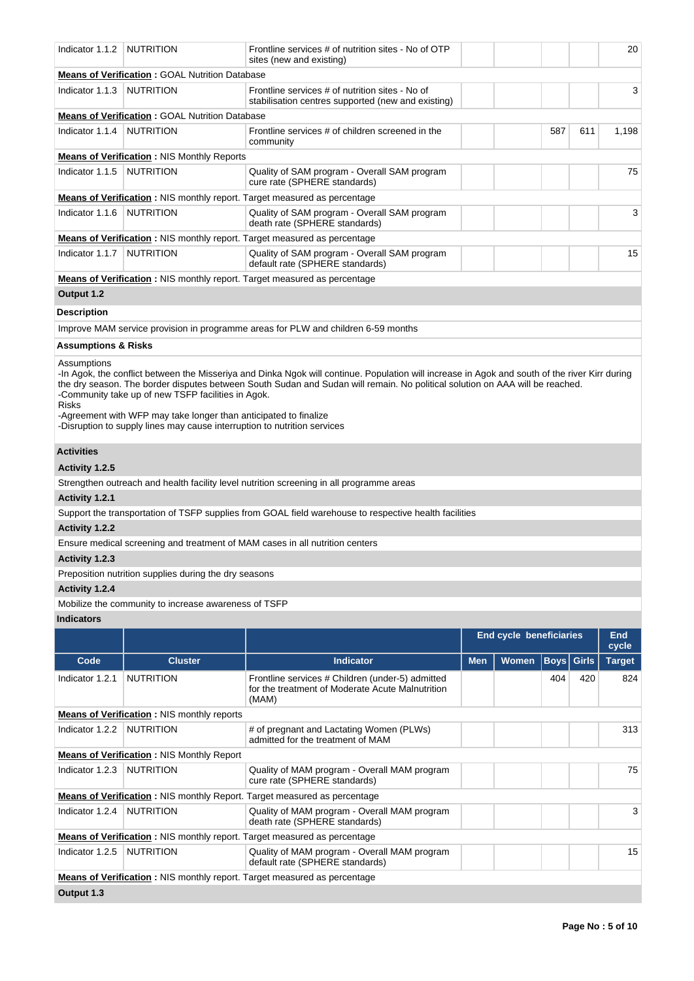| Indicator 1.1.2     | <b>NUTRITION</b>                                                                                                                                                                                   | Frontline services # of nutrition sites - No of OTP<br>sites (new and existing)                                                                                                                                                                                                |            |                                |             |              | 20            |
|---------------------|----------------------------------------------------------------------------------------------------------------------------------------------------------------------------------------------------|--------------------------------------------------------------------------------------------------------------------------------------------------------------------------------------------------------------------------------------------------------------------------------|------------|--------------------------------|-------------|--------------|---------------|
|                     | <b>Means of Verification : GOAL Nutrition Database</b>                                                                                                                                             |                                                                                                                                                                                                                                                                                |            |                                |             |              |               |
| Indicator 1.1.3     | <b>NUTRITION</b>                                                                                                                                                                                   | Frontline services # of nutrition sites - No of<br>stabilisation centres supported (new and existing)                                                                                                                                                                          |            |                                |             |              | 3             |
|                     | <b>Means of Verification: GOAL Nutrition Database</b>                                                                                                                                              |                                                                                                                                                                                                                                                                                |            |                                |             |              |               |
| Indicator 1.1.4     | <b>NUTRITION</b>                                                                                                                                                                                   | Frontline services # of children screened in the<br>community                                                                                                                                                                                                                  |            |                                | 587         | 611          | 1,198         |
|                     | <b>Means of Verification: NIS Monthly Reports</b>                                                                                                                                                  |                                                                                                                                                                                                                                                                                |            |                                |             |              |               |
| Indicator 1.1.5     | <b>NUTRITION</b>                                                                                                                                                                                   | Quality of SAM program - Overall SAM program<br>cure rate (SPHERE standards)                                                                                                                                                                                                   |            |                                |             |              | 75            |
|                     |                                                                                                                                                                                                    | <b>Means of Verification:</b> NIS monthly report. Target measured as percentage                                                                                                                                                                                                |            |                                |             |              |               |
| Indicator 1.1.6     | <b>NUTRITION</b>                                                                                                                                                                                   | Quality of SAM program - Overall SAM program<br>death rate (SPHERE standards)                                                                                                                                                                                                  |            |                                |             |              | 3             |
|                     |                                                                                                                                                                                                    | <b>Means of Verification:</b> NIS monthly report. Target measured as percentage                                                                                                                                                                                                |            |                                |             |              |               |
| Indicator 1.1.7     | <b>NUTRITION</b>                                                                                                                                                                                   | Quality of SAM program - Overall SAM program<br>default rate (SPHERE standards)                                                                                                                                                                                                |            |                                |             |              | 15            |
|                     |                                                                                                                                                                                                    | <b>Means of Verification:</b> NIS monthly report. Target measured as percentage                                                                                                                                                                                                |            |                                |             |              |               |
| Output 1.2          |                                                                                                                                                                                                    |                                                                                                                                                                                                                                                                                |            |                                |             |              |               |
| Description         |                                                                                                                                                                                                    |                                                                                                                                                                                                                                                                                |            |                                |             |              |               |
|                     |                                                                                                                                                                                                    |                                                                                                                                                                                                                                                                                |            |                                |             |              |               |
|                     |                                                                                                                                                                                                    | Improve MAM service provision in programme areas for PLW and children 6-59 months                                                                                                                                                                                              |            |                                |             |              |               |
| Assumptions & Risks |                                                                                                                                                                                                    |                                                                                                                                                                                                                                                                                |            |                                |             |              |               |
| <b>Risks</b>        | -Community take up of new TSFP facilities in Agok.<br>-Agreement with WFP may take longer than anticipated to finalize<br>-Disruption to supply lines may cause interruption to nutrition services | -In Agok, the conflict between the Misseriya and Dinka Ngok will continue. Population will increase in Agok and south of the river Kirr during<br>the dry season. The border disputes between South Sudan and Sudan will remain. No political solution on AAA will be reached. |            |                                |             |              |               |
| <b>Activities</b>   |                                                                                                                                                                                                    |                                                                                                                                                                                                                                                                                |            |                                |             |              |               |
| Activity 1.2.5      |                                                                                                                                                                                                    |                                                                                                                                                                                                                                                                                |            |                                |             |              |               |
|                     |                                                                                                                                                                                                    | Strengthen outreach and health facility level nutrition screening in all programme areas                                                                                                                                                                                       |            |                                |             |              |               |
| Activity 1.2.1      |                                                                                                                                                                                                    |                                                                                                                                                                                                                                                                                |            |                                |             |              |               |
|                     |                                                                                                                                                                                                    | Support the transportation of TSFP supplies from GOAL field warehouse to respective health facilities                                                                                                                                                                          |            |                                |             |              |               |
| Activity 1.2.2      |                                                                                                                                                                                                    |                                                                                                                                                                                                                                                                                |            |                                |             |              |               |
|                     |                                                                                                                                                                                                    | Ensure medical screening and treatment of MAM cases in all nutrition centers                                                                                                                                                                                                   |            |                                |             |              |               |
| Activity 1.2.3      |                                                                                                                                                                                                    |                                                                                                                                                                                                                                                                                |            |                                |             |              |               |
|                     | Preposition nutrition supplies during the dry seasons                                                                                                                                              |                                                                                                                                                                                                                                                                                |            |                                |             |              |               |
| Activity 1.2.4      |                                                                                                                                                                                                    |                                                                                                                                                                                                                                                                                |            |                                |             |              |               |
|                     | Mobilize the community to increase awareness of TSFP                                                                                                                                               |                                                                                                                                                                                                                                                                                |            |                                |             |              |               |
| <b>Indicators</b>   |                                                                                                                                                                                                    |                                                                                                                                                                                                                                                                                |            |                                |             |              |               |
|                     |                                                                                                                                                                                                    |                                                                                                                                                                                                                                                                                |            | <b>End cycle beneficiaries</b> |             |              | End<br>cycle  |
| Code                | <b>Cluster</b>                                                                                                                                                                                     | <b>Indicator</b>                                                                                                                                                                                                                                                               | <b>Men</b> | Women                          | <b>Boys</b> | <b>Girls</b> | <b>Target</b> |
| Indicator 1.2.1     | <b>NUTRITION</b>                                                                                                                                                                                   | Frontline services # Children (under-5) admitted<br>for the treatment of Moderate Acute Malnutrition<br>(MAM)                                                                                                                                                                  |            |                                | 404         | 420          | 824           |
|                     | <b>Means of Verification:</b> NIS monthly reports                                                                                                                                                  |                                                                                                                                                                                                                                                                                |            |                                |             |              |               |
| Indicator 1.2.2     | <b>NUTRITION</b>                                                                                                                                                                                   | # of pregnant and Lactating Women (PLWs)<br>admitted for the treatment of MAM                                                                                                                                                                                                  |            |                                |             |              | 313           |
|                     | <b>Means of Verification: NIS Monthly Report</b>                                                                                                                                                   |                                                                                                                                                                                                                                                                                |            |                                |             |              |               |
| Indicator 1.2.3     | <b>NUTRITION</b>                                                                                                                                                                                   | Quality of MAM program - Overall MAM program<br>cure rate (SPHERE standards)                                                                                                                                                                                                   |            |                                |             |              | 75            |
|                     |                                                                                                                                                                                                    | Means of Verification: NIS monthly Report. Target measured as percentage                                                                                                                                                                                                       |            |                                |             |              |               |
| Indicator 1.2.4     | <b>NUTRITION</b>                                                                                                                                                                                   | Quality of MAM program - Overall MAM program<br>death rate (SPHERE standards)                                                                                                                                                                                                  |            |                                |             |              | 3             |
|                     |                                                                                                                                                                                                    | <b>Means of Verification</b> : NIS monthly report. Target measured as percentage                                                                                                                                                                                               |            |                                |             |              |               |
| Indicator 1.2.5     | <b>NUTRITION</b>                                                                                                                                                                                   | Quality of MAM program - Overall MAM program<br>default rate (SPHERE standards)                                                                                                                                                                                                |            |                                |             |              | 15            |
|                     |                                                                                                                                                                                                    | <b>Means of Verification</b> : NIS monthly report. Target measured as percentage                                                                                                                                                                                               |            |                                |             |              |               |
| Output 1.3          |                                                                                                                                                                                                    |                                                                                                                                                                                                                                                                                |            |                                |             |              |               |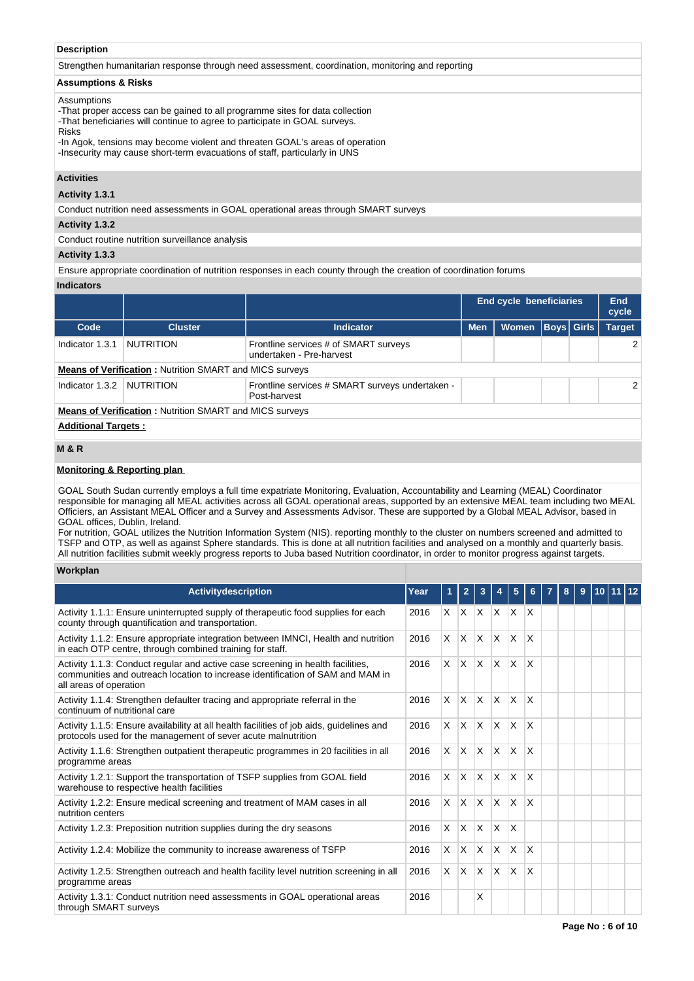# **Description**

Strengthen humanitarian response through need assessment, coordination, monitoring and reporting

# **Assumptions & Risks**

## Assumptions

-That proper access can be gained to all programme sites for data collection -That beneficiaries will continue to agree to participate in GOAL surveys. Risks

-In Agok, tensions may become violent and threaten GOAL's areas of operation -Insecurity may cause short-term evacuations of staff, particularly in UNS

## **Activities**

**Activity 1.3.1** 

Conduct nutrition need assessments in GOAL operational areas through SMART surveys

# **Activity 1.3.2**

Conduct routine nutrition surveillance analysis

## **Activity 1.3.3**

Ensure appropriate coordination of nutrition responses in each county through the creation of coordination forums

# **Indicators**

|                            |                                                                |                                                                   | End cycle beneficiaries |              |  |                   |               |  |
|----------------------------|----------------------------------------------------------------|-------------------------------------------------------------------|-------------------------|--------------|--|-------------------|---------------|--|
| Code                       | <b>Cluster</b>                                                 | <b>Indicator</b>                                                  | <b>Men</b>              | <b>Women</b> |  | <b>Boys Girls</b> | <b>Target</b> |  |
| Indicator 1.3.1            | NUTRITION                                                      | Frontline services # of SMART surveys<br>undertaken - Pre-harvest |                         |              |  |                   |               |  |
|                            | <b>Means of Verification: Nutrition SMART and MICS surveys</b> |                                                                   |                         |              |  |                   |               |  |
| Indicator 1.3.2            | NUTRITION                                                      | Frontline services # SMART surveys undertaken -<br>Post-harvest   |                         |              |  |                   | $\mathcal{P}$ |  |
|                            | <b>Means of Verification: Nutrition SMART and MICS surveys</b> |                                                                   |                         |              |  |                   |               |  |
| <b>Additional Targets:</b> |                                                                |                                                                   |                         |              |  |                   |               |  |

# **M & R**

# **Monitoring & Reporting plan**

GOAL South Sudan currently employs a full time expatriate Monitoring, Evaluation, Accountability and Learning (MEAL) Coordinator responsible for managing all MEAL activities across all GOAL operational areas, supported by an extensive MEAL team including two MEAL Officiers, an Assistant MEAL Officer and a Survey and Assessments Advisor. These are supported by a Global MEAL Advisor, based in GOAL offices, Dublin, Ireland.

For nutrition, GOAL utilizes the Nutrition Information System (NIS). reporting monthly to the cluster on numbers screened and admitted to TSFP and OTP, as well as against Sphere standards. This is done at all nutrition facilities and analysed on a monthly and quarterly basis. All nutrition facilities submit weekly progress reports to Juba based Nutrition coordinator, in order to monitor progress against targets.

# **Workplan**

| <b>Activity description</b>                                                                                                                                                                 | Year |                |         |                           |                                              |                |                         |  |  |  |
|---------------------------------------------------------------------------------------------------------------------------------------------------------------------------------------------|------|----------------|---------|---------------------------|----------------------------------------------|----------------|-------------------------|--|--|--|
| Activity 1.1.1: Ensure uninterrupted supply of therapeutic food supplies for each<br>county through quantification and transportation.                                                      | 2016 |                | $X$ $X$ | $\mathsf{X}$              | $ X $ $ X $                                  |                | ΙX                      |  |  |  |
| Activity 1.1.2: Ensure appropriate integration between IMNCI, Health and nutrition<br>in each OTP centre, through combined training for staff.                                              | 2016 | $\times$       | IX.     | $X$ $X$                   |                                              | $\mathsf{X}$   | $\overline{\mathsf{x}}$ |  |  |  |
| Activity 1.1.3: Conduct regular and active case screening in health facilities,<br>communities and outreach location to increase identification of SAM and MAM in<br>all areas of operation | 2016 |                |         |                           | $x \times x \times x$                        |                | <sup>X</sup>            |  |  |  |
| Activity 1.1.4: Strengthen defaulter tracing and appropriate referral in the<br>continuum of nutritional care                                                                               | 2016 |                |         |                           | $x \mid x \mid x \mid x \mid x$              |                | <sup>X</sup>            |  |  |  |
| Activity 1.1.5: Ensure availability at all health facilities of job aids, quidelines and<br>protocols used for the management of sever acute malnutrition                                   | 2016 |                |         |                           | $\times$ $\times$ $\times$ $\times$ $\times$ |                | $\mathsf{x}$            |  |  |  |
| Activity 1.1.6: Strengthen outpatient therapeutic programmes in 20 facilities in all<br>programme areas                                                                                     | 2016 | $\times$       | IX.     | $\mathsf{X}$              | $\mathsf{X}$                                 | <b>X</b>       | X                       |  |  |  |
| Activity 1.2.1: Support the transportation of TSFP supplies from GOAL field<br>warehouse to respective health facilities                                                                    | 2016 | X.             | IX.     | $\mathsf{X}$ $\mathsf{X}$ |                                              | $\mathsf{X}$   | $\overline{\mathsf{x}}$ |  |  |  |
| Activity 1.2.2: Ensure medical screening and treatment of MAM cases in all<br>nutrition centers                                                                                             | 2016 | $\times$       | IX.     | $\mathsf{X}$              | $\overline{X}$                               | $\mathsf{X}$   | $\mathsf{x}$            |  |  |  |
| Activity 1.2.3: Preposition nutrition supplies during the dry seasons                                                                                                                       | 2016 | $\mathsf{X}^-$ | IX.     | $\mathsf{X}$              | $\overline{X}$                               | $\overline{X}$ |                         |  |  |  |
| Activity 1.2.4: Mobilize the community to increase awareness of TSFP                                                                                                                        | 2016 | $\times$       | lx.     | $\mathsf{X}$              | $\mathsf{X}$                                 | $\mathsf{X}$   | $\mathsf{x}$            |  |  |  |
| Activity 1.2.5: Strengthen outreach and health facility level nutrition screening in all<br>programme areas                                                                                 | 2016 | <b>X</b>       | lx.     | $\mathsf{X}$              | $\mathsf{X}$                                 | $\mathsf{X}$   | $\mathsf{x}$            |  |  |  |
| Activity 1.3.1: Conduct nutrition need assessments in GOAL operational areas<br>through SMART surveys                                                                                       | 2016 |                |         | X                         |                                              |                |                         |  |  |  |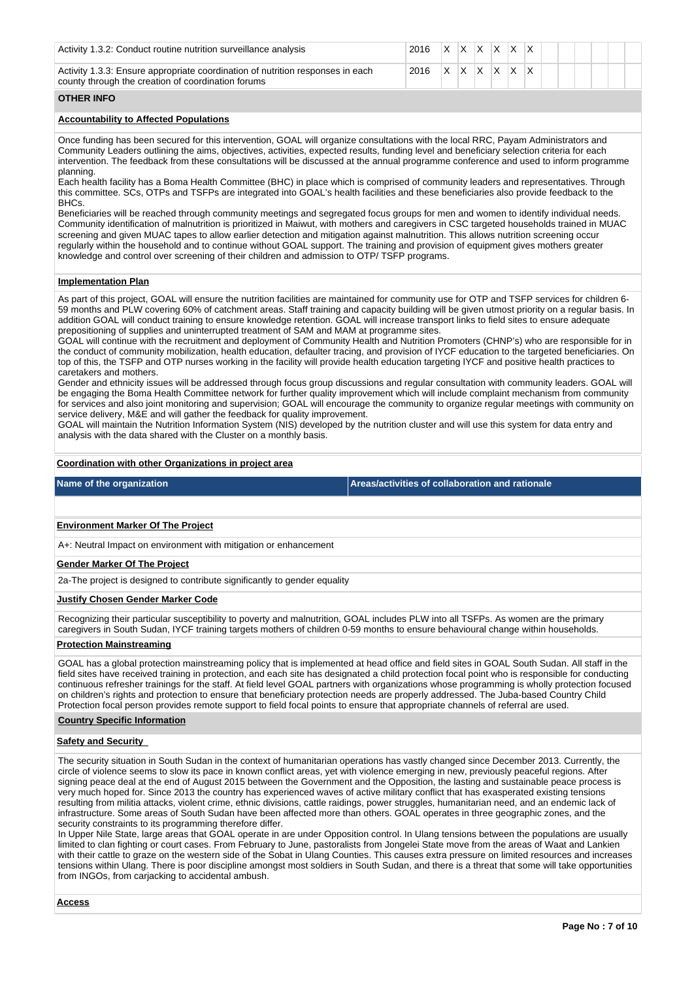| Activity 1.3.2: Conduct routine nutrition surveillance analysis                                                                      | 2016 XXXXXXX  |  |  |  |  |  |  |
|--------------------------------------------------------------------------------------------------------------------------------------|---------------|--|--|--|--|--|--|
| Activity 1.3.3: Ensure appropriate coordination of nutrition responses in each<br>county through the creation of coordination forums | 2016 XXXXXXXX |  |  |  |  |  |  |

## **OTHER INFO**

# **Accountability to Affected Populations**

Once funding has been secured for this intervention, GOAL will organize consultations with the local RRC, Payam Administrators and Community Leaders outlining the aims, objectives, activities, expected results, funding level and beneficiary selection criteria for each intervention. The feedback from these consultations will be discussed at the annual programme conference and used to inform programme planning.

Each health facility has a Boma Health Committee (BHC) in place which is comprised of community leaders and representatives. Through this committee. SCs, OTPs and TSFPs are integrated into GOAL's health facilities and these beneficiaries also provide feedback to the BHCs.

Beneficiaries will be reached through community meetings and segregated focus groups for men and women to identify individual needs. Community identification of malnutrition is prioritized in Maiwut, with mothers and caregivers in CSC targeted households trained in MUAC screening and given MUAC tapes to allow earlier detection and mitigation against malnutrition. This allows nutrition screening occur regularly within the household and to continue without GOAL support. The training and provision of equipment gives mothers greater knowledge and control over screening of their children and admission to OTP/ TSFP programs.

## **Implementation Plan**

As part of this project, GOAL will ensure the nutrition facilities are maintained for community use for OTP and TSFP services for children 6- 59 months and PLW covering 60% of catchment areas. Staff training and capacity building will be given utmost priority on a regular basis. In addition GOAL will conduct training to ensure knowledge retention. GOAL will increase transport links to field sites to ensure adequate prepositioning of supplies and uninterrupted treatment of SAM and MAM at programme sites.

GOAL will continue with the recruitment and deployment of Community Health and Nutrition Promoters (CHNP's) who are responsible for in the conduct of community mobilization, health education, defaulter tracing, and provision of IYCF education to the targeted beneficiaries. On top of this, the TSFP and OTP nurses working in the facility will provide health education targeting IYCF and positive health practices to caretakers and mothers.

Gender and ethnicity issues will be addressed through focus group discussions and regular consultation with community leaders. GOAL will be engaging the Boma Health Committee network for further quality improvement which will include complaint mechanism from community for services and also joint monitoring and supervision; GOAL will encourage the community to organize regular meetings with community on service delivery, M&E and will gather the feedback for quality improvement.

GOAL will maintain the Nutrition Information System (NIS) developed by the nutrition cluster and will use this system for data entry and analysis with the data shared with the Cluster on a monthly basis.

## **Coordination with other Organizations in project area**

**Name of the organization Areas/activities of collaboration and rationale** 

# **Environment Marker Of The Project**

A+: Neutral Impact on environment with mitigation or enhancement

## **Gender Marker Of The Project**

2a-The project is designed to contribute significantly to gender equality

## **Justify Chosen Gender Marker Code**

Recognizing their particular susceptibility to poverty and malnutrition, GOAL includes PLW into all TSFPs. As women are the primary caregivers in South Sudan, IYCF training targets mothers of children 0-59 months to ensure behavioural change within households.

## **Protection Mainstreaming**

GOAL has a global protection mainstreaming policy that is implemented at head office and field sites in GOAL South Sudan. All staff in the field sites have received training in protection, and each site has designated a child protection focal point who is responsible for conducting continuous refresher trainings for the staff. At field level GOAL partners with organizations whose programming is wholly protection focused on children's rights and protection to ensure that beneficiary protection needs are properly addressed. The Juba-based Country Child Protection focal person provides remote support to field focal points to ensure that appropriate channels of referral are used.

#### **Country Specific Information**

## **Safety and Security**

The security situation in South Sudan in the context of humanitarian operations has vastly changed since December 2013. Currently, the circle of violence seems to slow its pace in known conflict areas, yet with violence emerging in new, previously peaceful regions. After signing peace deal at the end of August 2015 between the Government and the Opposition, the lasting and sustainable peace process is very much hoped for. Since 2013 the country has experienced waves of active military conflict that has exasperated existing tensions resulting from militia attacks, violent crime, ethnic divisions, cattle raidings, power struggles, humanitarian need, and an endemic lack of infrastructure. Some areas of South Sudan have been affected more than others. GOAL operates in three geographic zones, and the security constraints to its programming therefore differ.

In Upper Nile State, large areas that GOAL operate in are under Opposition control. In Ulang tensions between the populations are usually limited to clan fighting or court cases. From February to June, pastoralists from Jongelei State move from the areas of Waat and Lankien with their cattle to graze on the western side of the Sobat in Ulang Counties. This causes extra pressure on limited resources and increases tensions within Ulang. There is poor discipline amongst most soldiers in South Sudan, and there is a threat that some will take opportunities from INGOs, from carjacking to accidental ambush.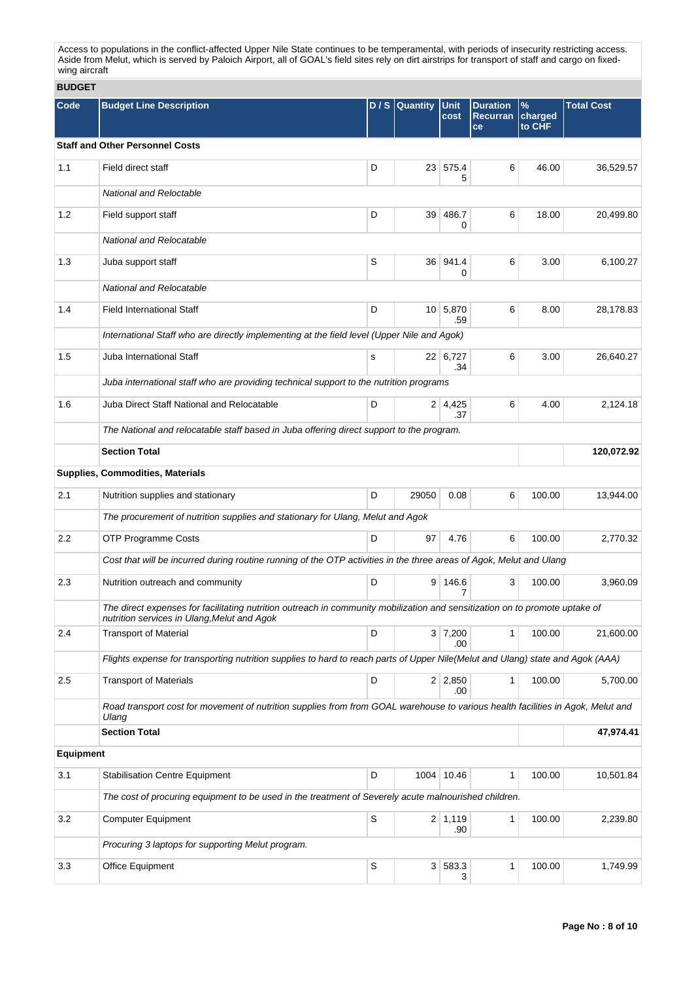Access to populations in the conflict-affected Upper Nile State continues to be temperamental, with periods of insecurity restricting access. Aside from Melut, which is served by Paloich Airport, all of GOAL's field sites rely on dirt airstrips for transport of staff and cargo on fixedwing aircraft

**BUDGET**

| Code             | <b>Budget Line Description</b>                                                                                                                                             |   | $D/S$ Quantity | Unit                  | <b>Duration</b>       | $\frac{9}{6}$     | <b>Total Cost</b> |  |
|------------------|----------------------------------------------------------------------------------------------------------------------------------------------------------------------------|---|----------------|-----------------------|-----------------------|-------------------|-------------------|--|
|                  |                                                                                                                                                                            |   |                | cost                  | <b>Recurran</b><br>ce | charged<br>to CHF |                   |  |
|                  | <b>Staff and Other Personnel Costs</b>                                                                                                                                     |   |                |                       |                       |                   |                   |  |
| 1.1              | Field direct staff                                                                                                                                                         | D |                | 23 575.4<br>5         | 6                     | 46.00             | 36,529.57         |  |
|                  | <b>National and Reloctable</b>                                                                                                                                             |   |                |                       |                       |                   |                   |  |
| 1.2              | Field support staff                                                                                                                                                        | D | 39             | 486.7<br>0            | 6                     | 18.00             | 20,499.80         |  |
|                  | National and Relocatable                                                                                                                                                   |   |                |                       |                       |                   |                   |  |
| 1.3              | Juba support staff                                                                                                                                                         | S |                | 36 941.4<br>0         | 6                     | 3.00              | 6,100.27          |  |
|                  | National and Relocatable                                                                                                                                                   |   |                |                       |                       |                   |                   |  |
| 1.4              | <b>Field International Staff</b>                                                                                                                                           | D |                | 10 5,870<br>.59       | 6                     | 8.00              | 28,178.83         |  |
|                  | International Staff who are directly implementing at the field level (Upper Nile and Agok)                                                                                 |   |                |                       |                       |                   |                   |  |
| 1.5              | Juba International Staff                                                                                                                                                   | s |                | 22 6,727<br>.34       | 6                     | 3.00              | 26,640.27         |  |
|                  | Juba international staff who are providing technical support to the nutrition programs                                                                                     |   |                |                       |                       |                   |                   |  |
| 1.6              | Juba Direct Staff National and Relocatable                                                                                                                                 | D |                | $2 \mid 4,425$<br>.37 | 6                     | 4.00              | 2,124.18          |  |
|                  | The National and relocatable staff based in Juba offering direct support to the program.                                                                                   |   |                |                       |                       |                   |                   |  |
|                  | <b>Section Total</b>                                                                                                                                                       |   |                |                       |                       |                   | 120,072.92        |  |
|                  | <b>Supplies, Commodities, Materials</b>                                                                                                                                    |   |                |                       |                       |                   |                   |  |
| 2.1              | Nutrition supplies and stationary                                                                                                                                          | D | 29050          | 0.08                  | 6                     | 100.00            | 13,944.00         |  |
|                  | The procurement of nutrition supplies and stationary for Ulang, Melut and Agok                                                                                             |   |                |                       |                       |                   |                   |  |
| $2.2\phantom{0}$ | <b>OTP Programme Costs</b>                                                                                                                                                 | D | 97             | 4.76                  | 6                     | 100.00            | 2,770.32          |  |
|                  | Cost that will be incurred during routine running of the OTP activities in the three areas of Agok, Melut and Ulang                                                        |   |                |                       |                       |                   |                   |  |
| 2.3              | Nutrition outreach and community                                                                                                                                           | D |                | $9 \mid 146.6$<br>7   | 3                     | 100.00            | 3,960.09          |  |
|                  | The direct expenses for facilitating nutrition outreach in community mobilization and sensitization on to promote uptake of<br>nutrition services in Ulang, Melut and Agok |   |                |                       |                       |                   |                   |  |
| 2.4              | <b>Transport of Material</b>                                                                                                                                               | D |                | 3 7,200<br>.00        | $\mathbf{1}$          | 100.00            | 21,600.00         |  |
|                  | Flights expense for transporting nutrition supplies to hard to reach parts of Upper Nile(Melut and Ulang) state and Agok (AAA)                                             |   |                |                       |                       |                   |                   |  |
| 2.5              | <b>Transport of Materials</b>                                                                                                                                              | D |                | $2 \mid 2,850$<br>.00 | $\mathbf{1}$          | 100.00            | 5,700.00          |  |
|                  | Road transport cost for movement of nutrition supplies from from GOAL warehouse to various health facilities in Agok, Melut and<br>Ulang                                   |   |                |                       |                       |                   |                   |  |
|                  | <b>Section Total</b>                                                                                                                                                       |   |                |                       |                       |                   | 47,974.41         |  |
| Equipment        |                                                                                                                                                                            |   |                |                       |                       |                   |                   |  |
| 3.1              | <b>Stabilisation Centre Equipment</b>                                                                                                                                      | D |                | 1004 10.46            | $\mathbf{1}$          | 100.00            | 10,501.84         |  |
|                  | The cost of procuring equipment to be used in the treatment of Severely acute malnourished children.                                                                       |   |                |                       |                       |                   |                   |  |
| 3.2              | <b>Computer Equipment</b>                                                                                                                                                  | S |                | $2 \mid 1,119$<br>.90 | $\mathbf{1}$          | 100.00            | 2,239.80          |  |
|                  | Procuring 3 laptops for supporting Melut program.                                                                                                                          |   |                |                       |                       |                   |                   |  |
| 3.3              | Office Equipment                                                                                                                                                           | S |                | 3 583.3<br>3          | 1                     | 100.00            | 1,749.99          |  |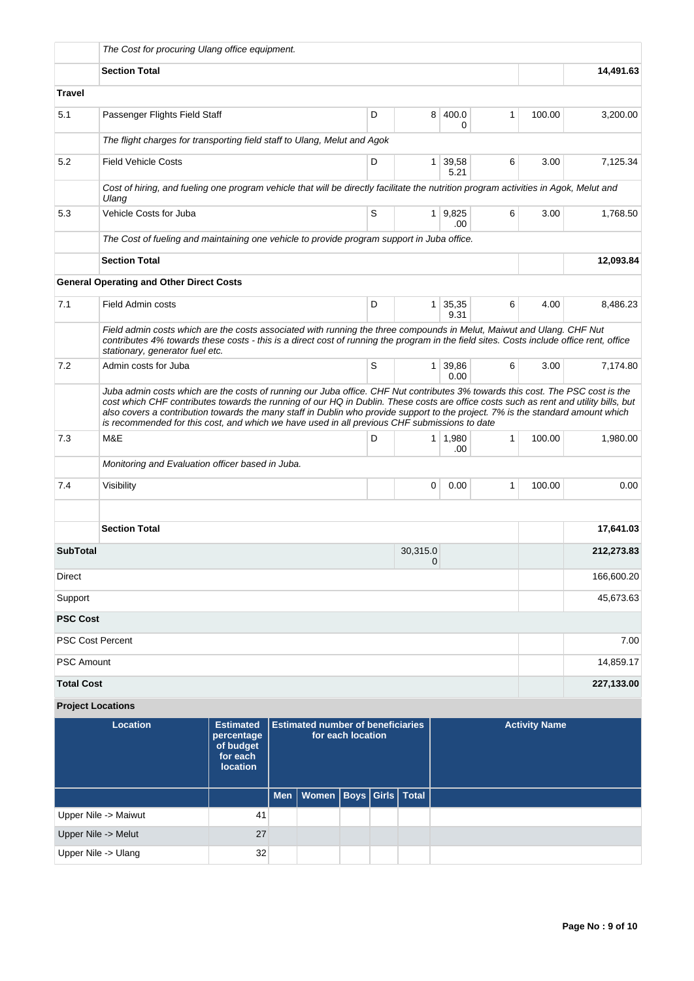|                                                                                                                                                                                                                                                                                                     | The Cost for procuring Ulang office equipment.                                                                                                                                                                                                                                                                                                                                                                                                                                                            |                                                               |                |                       |              |                      |            |
|-----------------------------------------------------------------------------------------------------------------------------------------------------------------------------------------------------------------------------------------------------------------------------------------------------|-----------------------------------------------------------------------------------------------------------------------------------------------------------------------------------------------------------------------------------------------------------------------------------------------------------------------------------------------------------------------------------------------------------------------------------------------------------------------------------------------------------|---------------------------------------------------------------|----------------|-----------------------|--------------|----------------------|------------|
|                                                                                                                                                                                                                                                                                                     | <b>Section Total</b>                                                                                                                                                                                                                                                                                                                                                                                                                                                                                      |                                                               |                |                       |              |                      | 14,491.63  |
| Travel                                                                                                                                                                                                                                                                                              |                                                                                                                                                                                                                                                                                                                                                                                                                                                                                                           |                                                               |                |                       |              |                      |            |
| 5.1                                                                                                                                                                                                                                                                                                 | Passenger Flights Field Staff                                                                                                                                                                                                                                                                                                                                                                                                                                                                             | D                                                             | 8              | 400.0<br>0            | 1            | 100.00               | 3,200.00   |
|                                                                                                                                                                                                                                                                                                     | The flight charges for transporting field staff to Ulang, Melut and Agok                                                                                                                                                                                                                                                                                                                                                                                                                                  |                                                               |                |                       |              |                      |            |
| 5.2                                                                                                                                                                                                                                                                                                 | <b>Field Vehicle Costs</b>                                                                                                                                                                                                                                                                                                                                                                                                                                                                                | D                                                             |                | 1 39,58<br>5.21       | 6            | 3.00                 | 7,125.34   |
|                                                                                                                                                                                                                                                                                                     | Cost of hiring, and fueling one program vehicle that will be directly facilitate the nutrition program activities in Agok, Melut and<br>Ulang                                                                                                                                                                                                                                                                                                                                                             |                                                               |                |                       |              |                      |            |
| 5.3                                                                                                                                                                                                                                                                                                 | Vehicle Costs for Juba                                                                                                                                                                                                                                                                                                                                                                                                                                                                                    | S                                                             |                | 1 9,825<br>.00        | 6            | 3.00                 | 1,768.50   |
|                                                                                                                                                                                                                                                                                                     | The Cost of fueling and maintaining one vehicle to provide program support in Juba office.                                                                                                                                                                                                                                                                                                                                                                                                                |                                                               |                |                       |              |                      |            |
|                                                                                                                                                                                                                                                                                                     | <b>Section Total</b>                                                                                                                                                                                                                                                                                                                                                                                                                                                                                      |                                                               |                |                       |              |                      | 12,093.84  |
|                                                                                                                                                                                                                                                                                                     | <b>General Operating and Other Direct Costs</b>                                                                                                                                                                                                                                                                                                                                                                                                                                                           |                                                               |                |                       |              |                      |            |
| 7.1                                                                                                                                                                                                                                                                                                 | Field Admin costs                                                                                                                                                                                                                                                                                                                                                                                                                                                                                         | D                                                             | 1 <sup>1</sup> | 35,35<br>9.31         | 6            | 4.00                 | 8,486.23   |
| Field admin costs which are the costs associated with running the three compounds in Melut, Maiwut and Ulang. CHF Nut<br>contributes 4% towards these costs - this is a direct cost of running the program in the field sites. Costs include office rent, office<br>stationary, generator fuel etc. |                                                                                                                                                                                                                                                                                                                                                                                                                                                                                                           |                                                               |                |                       |              |                      |            |
| 7.2                                                                                                                                                                                                                                                                                                 | Admin costs for Juba                                                                                                                                                                                                                                                                                                                                                                                                                                                                                      | S                                                             | 1 <sup>1</sup> | 39,86<br>0.00         | 6            | 3.00                 | 7,174.80   |
|                                                                                                                                                                                                                                                                                                     | Juba admin costs which are the costs of running our Juba office. CHF Nut contributes 3% towards this cost. The PSC cost is the<br>cost which CHF contributes towards the running of our HQ in Dublin. These costs are office costs such as rent and utility bills, but<br>also covers a contribution towards the many staff in Dublin who provide support to the project. 7% is the standard amount which<br>is recommended for this cost, and which we have used in all previous CHF submissions to date |                                                               |                |                       |              |                      |            |
| 7.3                                                                                                                                                                                                                                                                                                 | M&E                                                                                                                                                                                                                                                                                                                                                                                                                                                                                                       | D                                                             |                | $1 \mid 1,980$<br>.00 | $\mathbf{1}$ | 100.00               | 1,980.00   |
|                                                                                                                                                                                                                                                                                                     | Monitoring and Evaluation officer based in Juba.                                                                                                                                                                                                                                                                                                                                                                                                                                                          |                                                               |                |                       |              |                      |            |
| 7.4                                                                                                                                                                                                                                                                                                 | Visibility                                                                                                                                                                                                                                                                                                                                                                                                                                                                                                |                                                               | 0              | 0.00                  | 1            | 100.00               | 0.00       |
|                                                                                                                                                                                                                                                                                                     | <b>Section Total</b>                                                                                                                                                                                                                                                                                                                                                                                                                                                                                      |                                                               |                |                       |              |                      | 17,641.03  |
| <b>SubTotal</b>                                                                                                                                                                                                                                                                                     |                                                                                                                                                                                                                                                                                                                                                                                                                                                                                                           |                                                               | 30,315.0       |                       |              |                      | 212,273.83 |
| 0                                                                                                                                                                                                                                                                                                   |                                                                                                                                                                                                                                                                                                                                                                                                                                                                                                           |                                                               |                |                       |              |                      |            |
| Direct                                                                                                                                                                                                                                                                                              |                                                                                                                                                                                                                                                                                                                                                                                                                                                                                                           |                                                               |                |                       |              |                      | 166,600.20 |
| Support<br><b>PSC Cost</b>                                                                                                                                                                                                                                                                          |                                                                                                                                                                                                                                                                                                                                                                                                                                                                                                           |                                                               |                |                       |              |                      | 45,673.63  |
|                                                                                                                                                                                                                                                                                                     |                                                                                                                                                                                                                                                                                                                                                                                                                                                                                                           |                                                               |                |                       |              |                      |            |
|                                                                                                                                                                                                                                                                                                     | PSC Cost Percent                                                                                                                                                                                                                                                                                                                                                                                                                                                                                          |                                                               |                |                       |              |                      | 7.00       |
| <b>PSC Amount</b>                                                                                                                                                                                                                                                                                   |                                                                                                                                                                                                                                                                                                                                                                                                                                                                                                           |                                                               |                |                       |              |                      | 14,859.17  |
| <b>Total Cost</b>                                                                                                                                                                                                                                                                                   |                                                                                                                                                                                                                                                                                                                                                                                                                                                                                                           |                                                               |                |                       |              |                      | 227,133.00 |
|                                                                                                                                                                                                                                                                                                     | <b>Project Locations</b>                                                                                                                                                                                                                                                                                                                                                                                                                                                                                  |                                                               |                |                       |              |                      |            |
|                                                                                                                                                                                                                                                                                                     | <b>Location</b><br><b>Estimated</b><br>percentage<br>of budget<br>for each                                                                                                                                                                                                                                                                                                                                                                                                                                | <b>Estimated number of beneficiaries</b><br>for each location |                |                       |              | <b>Activity Name</b> |            |

| -----------          | percentage<br>of budget<br>for each<br><b>location</b> | for each location                  |  |  |  |
|----------------------|--------------------------------------------------------|------------------------------------|--|--|--|
|                      |                                                        | Men   Women   Boys   Girls   Total |  |  |  |
| Upper Nile -> Maiwut | 41                                                     |                                    |  |  |  |
| Upper Nile -> Melut  | 27                                                     |                                    |  |  |  |
| Upper Nile -> Ulang  | 32                                                     |                                    |  |  |  |